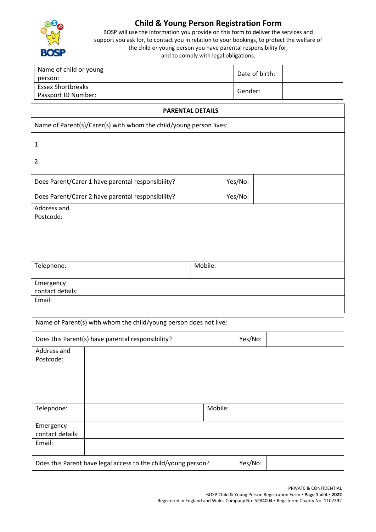

## **Child & Young Person Registration Form**

BOSP will use the information you provide on this form to deliver the services and support you ask for, to contact you in relation to your bookings, to protect the welfare of the child or young person you have parental responsibility for, and to comply with legal obligations.

| Name of child or young   | Date of birth: |  |
|--------------------------|----------------|--|
| person:                  |                |  |
| <b>Essex Shortbreaks</b> |                |  |
| Passport ID Number:      | Gender:        |  |

## **PARENTAL DETAILS**

Name of Parent(s)/Carer(s) with whom the child/young person lives:

1.

2.

| Does Parent/Carer 1 have parental responsibility? | Yes/No: |  |
|---------------------------------------------------|---------|--|
| Does Parent/Carer 2 have parental responsibility? | Yes/No: |  |

| Address and<br>Postcode: |         |
|--------------------------|---------|
| Telephone:               | Mobile: |
| Emergency                |         |
| contact details:         |         |
| Email:                   |         |

|                  | Name of Parent(s) with whom the child/young person does not live: |         |         |  |
|------------------|-------------------------------------------------------------------|---------|---------|--|
|                  | Does this Parent(s) have parental responsibility?                 |         | Yes/No: |  |
| Address and      |                                                                   |         |         |  |
| Postcode:        |                                                                   |         |         |  |
|                  |                                                                   |         |         |  |
|                  |                                                                   |         |         |  |
|                  |                                                                   |         |         |  |
|                  |                                                                   |         |         |  |
| Telephone:       |                                                                   | Mobile: |         |  |
|                  |                                                                   |         |         |  |
| Emergency        |                                                                   |         |         |  |
| contact details: |                                                                   |         |         |  |
| Email:           |                                                                   |         |         |  |
|                  |                                                                   |         |         |  |
|                  | Does this Parent have legal access to the child/young person?     |         | Yes/No: |  |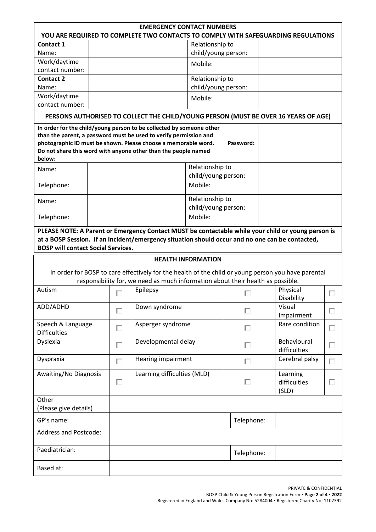| <b>EMERGENCY CONTACT NUMBERS</b><br>YOU ARE REQUIRED TO COMPLETE TWO CONTACTS TO COMPLY WITH SAFEGUARDING REGULATIONS |  |   |                                                                                                                                                                                                                                                                               |                           |                                        |                                                                                                     |   |
|-----------------------------------------------------------------------------------------------------------------------|--|---|-------------------------------------------------------------------------------------------------------------------------------------------------------------------------------------------------------------------------------------------------------------------------------|---------------------------|----------------------------------------|-----------------------------------------------------------------------------------------------------|---|
| Contact 1                                                                                                             |  |   |                                                                                                                                                                                                                                                                               | Relationship to           |                                        |                                                                                                     |   |
| Name:                                                                                                                 |  |   |                                                                                                                                                                                                                                                                               | child/young person:       |                                        |                                                                                                     |   |
| Work/daytime                                                                                                          |  |   |                                                                                                                                                                                                                                                                               | Mobile:                   |                                        |                                                                                                     |   |
| contact number:                                                                                                       |  |   |                                                                                                                                                                                                                                                                               |                           |                                        |                                                                                                     |   |
| <b>Contact 2</b>                                                                                                      |  |   |                                                                                                                                                                                                                                                                               | Relationship to           |                                        |                                                                                                     |   |
| Name:                                                                                                                 |  |   |                                                                                                                                                                                                                                                                               | child/young person:       |                                        |                                                                                                     |   |
| Work/daytime                                                                                                          |  |   |                                                                                                                                                                                                                                                                               | Mobile:                   |                                        |                                                                                                     |   |
| contact number:                                                                                                       |  |   |                                                                                                                                                                                                                                                                               |                           |                                        |                                                                                                     |   |
|                                                                                                                       |  |   |                                                                                                                                                                                                                                                                               |                           |                                        | PERSONS AUTHORISED TO COLLECT THE CHILD/YOUNG PERSON (MUST BE OVER 16 YEARS OF AGE)                 |   |
| below:                                                                                                                |  |   | In order for the child/young person to be collected by someone other<br>than the parent, a password must be used to verify permission and<br>photographic ID must be shown. Please choose a memorable word.<br>Do not share this word with anyone other than the people named |                           | Password:                              |                                                                                                     |   |
|                                                                                                                       |  |   |                                                                                                                                                                                                                                                                               | Relationship to           |                                        |                                                                                                     |   |
| Name:                                                                                                                 |  |   |                                                                                                                                                                                                                                                                               | child/young person:       |                                        |                                                                                                     |   |
| Telephone:                                                                                                            |  |   |                                                                                                                                                                                                                                                                               | Mobile:                   |                                        |                                                                                                     |   |
|                                                                                                                       |  |   |                                                                                                                                                                                                                                                                               |                           |                                        |                                                                                                     |   |
| Name:                                                                                                                 |  |   |                                                                                                                                                                                                                                                                               | Relationship to           |                                        |                                                                                                     |   |
|                                                                                                                       |  |   |                                                                                                                                                                                                                                                                               | child/young person:       |                                        |                                                                                                     |   |
| Telephone:                                                                                                            |  |   |                                                                                                                                                                                                                                                                               | Mobile:                   |                                        |                                                                                                     |   |
| <b>BOSP will contact Social Services.</b>                                                                             |  |   |                                                                                                                                                                                                                                                                               | <b>HEALTH INFORMATION</b> |                                        | at a BOSP Session. If an incident/emergency situation should occur and no one can be contacted,     |   |
|                                                                                                                       |  |   |                                                                                                                                                                                                                                                                               |                           |                                        |                                                                                                     |   |
|                                                                                                                       |  |   | responsibility for, we need as much information about their health as possible.                                                                                                                                                                                               |                           |                                        | In order for BOSP to care effectively for the health of the child or young person you have parental |   |
| Autism                                                                                                                |  |   | Epilepsy                                                                                                                                                                                                                                                                      |                           |                                        | Physical<br>Disability                                                                              | H |
| ADD/ADHD                                                                                                              |  | П | Down syndrome                                                                                                                                                                                                                                                                 |                           | Visual<br>П<br>Impairment              |                                                                                                     | П |
| Speech & Language<br><b>Difficulties</b>                                                                              |  | П | Asperger syndrome                                                                                                                                                                                                                                                             |                           | П                                      | Rare condition                                                                                      | Г |
| Dyslexia                                                                                                              |  | П | Developmental delay                                                                                                                                                                                                                                                           |                           | П                                      | Behavioural<br>difficulties                                                                         | П |
| Dyspraxia                                                                                                             |  | П | <b>Hearing impairment</b>                                                                                                                                                                                                                                                     |                           | П                                      | Cerebral palsy                                                                                      | П |
| Awaiting/No Diagnosis                                                                                                 |  | П | Learning difficulties (MLD)                                                                                                                                                                                                                                                   |                           | Learning<br>П<br>difficulties<br>(SLD) |                                                                                                     | Е |
| Other<br>(Please give details)                                                                                        |  |   |                                                                                                                                                                                                                                                                               |                           |                                        |                                                                                                     |   |
| GP's name:                                                                                                            |  |   |                                                                                                                                                                                                                                                                               |                           | Telephone:                             |                                                                                                     |   |
| <b>Address and Postcode:</b>                                                                                          |  |   |                                                                                                                                                                                                                                                                               |                           |                                        |                                                                                                     |   |
| Paediatrician:                                                                                                        |  |   |                                                                                                                                                                                                                                                                               |                           | Telephone:                             |                                                                                                     |   |
| Based at:                                                                                                             |  |   |                                                                                                                                                                                                                                                                               |                           |                                        |                                                                                                     |   |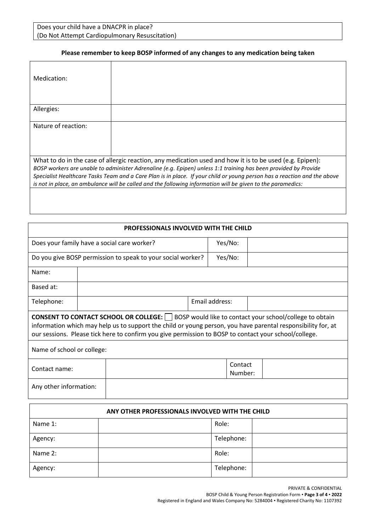Does your child have a DNACPR in place? (Do Not Attempt Cardiopulmonary Resuscitation)

## **Please remember to keep BOSP informed of any changes to any medication being taken**

| Medication:         |                                                                                                                                                                                                                                                                                                                                                                                                                                                                        |
|---------------------|------------------------------------------------------------------------------------------------------------------------------------------------------------------------------------------------------------------------------------------------------------------------------------------------------------------------------------------------------------------------------------------------------------------------------------------------------------------------|
| Allergies:          |                                                                                                                                                                                                                                                                                                                                                                                                                                                                        |
| Nature of reaction: |                                                                                                                                                                                                                                                                                                                                                                                                                                                                        |
|                     | What to do in the case of allergic reaction, any medication used and how it is to be used (e.g. Epipen):<br>BOSP workers are unable to administer Adrenaline (e.g. Epipen) unless 1:1 training has been provided by Provide<br>Specialist Healthcare Tasks Team and a Care Plan is in place. If your child or young person has a reaction and the above<br>is not in place, an ambulance will be called and the following information will be given to the paramedics: |
|                     |                                                                                                                                                                                                                                                                                                                                                                                                                                                                        |

| PROFESSIONALS INVOLVED WITH THE CHILD                                                                                                                                                                                                                                                                                            |                    |                                                             |  |         |  |  |  |
|----------------------------------------------------------------------------------------------------------------------------------------------------------------------------------------------------------------------------------------------------------------------------------------------------------------------------------|--------------------|-------------------------------------------------------------|--|---------|--|--|--|
|                                                                                                                                                                                                                                                                                                                                  |                    | Does your family have a social care worker?                 |  | Yes/No: |  |  |  |
|                                                                                                                                                                                                                                                                                                                                  |                    | Do you give BOSP permission to speak to your social worker? |  | Yes/No: |  |  |  |
| Name:                                                                                                                                                                                                                                                                                                                            |                    |                                                             |  |         |  |  |  |
| Based at:                                                                                                                                                                                                                                                                                                                        |                    |                                                             |  |         |  |  |  |
| Telephone:                                                                                                                                                                                                                                                                                                                       | Email address:     |                                                             |  |         |  |  |  |
| <b>CONSENT TO CONTACT SCHOOL OR COLLEGE:</b>   BOSP would like to contact your school/college to obtain<br>information which may help us to support the child or young person, you have parental responsibility for, at<br>our sessions. Please tick here to confirm you give permission to BOSP to contact your school/college. |                    |                                                             |  |         |  |  |  |
| Name of school or college:                                                                                                                                                                                                                                                                                                       |                    |                                                             |  |         |  |  |  |
| Contact name:                                                                                                                                                                                                                                                                                                                    | Contact<br>Number: |                                                             |  |         |  |  |  |
| Any other information:                                                                                                                                                                                                                                                                                                           |                    |                                                             |  |         |  |  |  |
| ANY OTHER PROFESSIONALS INVOLVED WITH THE CHILD                                                                                                                                                                                                                                                                                  |                    |                                                             |  |         |  |  |  |

| ANT UTHER PROFESSIONALS INVOLVED WITH THE CHILD |  |            |  |  |  |
|-------------------------------------------------|--|------------|--|--|--|
| Name 1:                                         |  | Role:      |  |  |  |
| Agency:                                         |  | Telephone: |  |  |  |
| Name 2:                                         |  | Role:      |  |  |  |
| Agency:                                         |  | Telephone: |  |  |  |